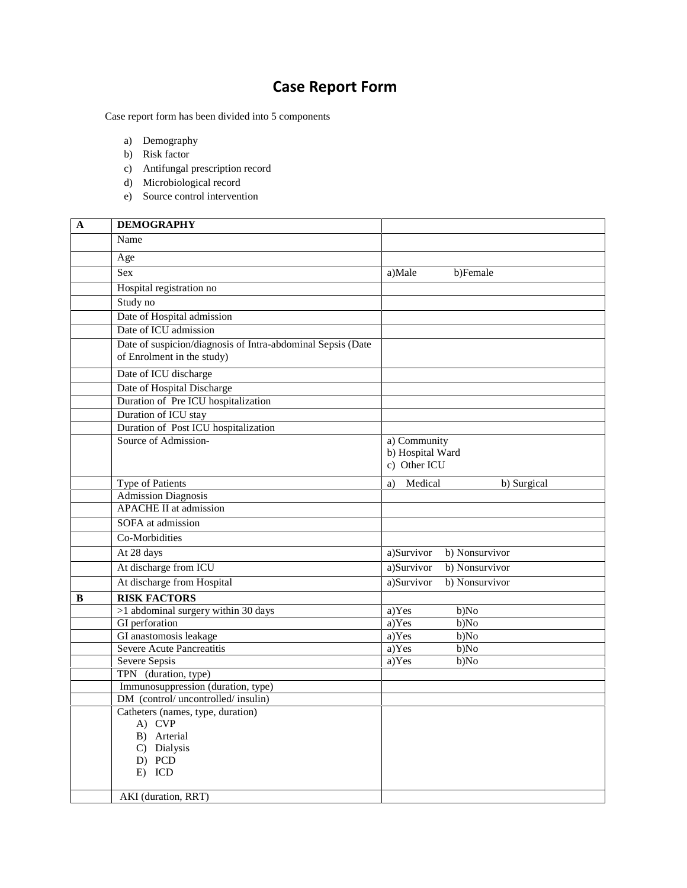## **Case Report Form**

Case report form has been divided into 5 components

- a) Demography
- b) Risk factor
- c) Antifungal prescription record
- d) Microbiological record
- e) Source control intervention

| A | <b>DEMOGRAPHY</b>                                                                         |                              |
|---|-------------------------------------------------------------------------------------------|------------------------------|
|   | Name                                                                                      |                              |
|   | Age                                                                                       |                              |
|   | Sex                                                                                       | a)Male<br>b)Female           |
|   | Hospital registration no                                                                  |                              |
|   | Study no                                                                                  |                              |
|   | Date of Hospital admission                                                                |                              |
|   | Date of ICU admission                                                                     |                              |
|   | Date of suspicion/diagnosis of Intra-abdominal Sepsis (Date<br>of Enrolment in the study) |                              |
|   | Date of ICU discharge                                                                     |                              |
|   | Date of Hospital Discharge                                                                |                              |
|   | Duration of Pre ICU hospitalization                                                       |                              |
|   | Duration of ICU stay                                                                      |                              |
|   | Duration of Post ICU hospitalization                                                      |                              |
|   | Source of Admission-                                                                      | a) Community                 |
|   |                                                                                           | b) Hospital Ward             |
|   |                                                                                           | c) Other ICU                 |
|   | <b>Type of Patients</b>                                                                   | Medical<br>b) Surgical<br>a) |
|   | <b>Admission Diagnosis</b>                                                                |                              |
|   | <b>APACHE II</b> at admission                                                             |                              |
|   | SOFA at admission                                                                         |                              |
|   | Co-Morbidities                                                                            |                              |
|   | $\overline{At}$ 28 days                                                                   | b) Nonsurvivor<br>a)Survivor |
|   | At discharge from ICU                                                                     | a)Survivor<br>b) Nonsurvivor |
|   | At discharge from Hospital                                                                | a)Survivor<br>b) Nonsurvivor |
| B | <b>RISK FACTORS</b>                                                                       |                              |
|   | >1 abdominal surgery within 30 days                                                       | a)Yes<br>b)No                |
|   | GI perforation                                                                            | a)Yes<br>b)No                |
|   | GI anastomosis leakage                                                                    | a)Yes<br>b)No                |
|   | Severe Acute Pancreatitis                                                                 | a)Yes<br>b)No                |
|   | Severe Sepsis                                                                             | a)Yes<br>b)No                |
|   | TPN (duration, type)                                                                      |                              |
|   | Immunosuppression (duration, type)<br>DM (control/uncontrolled/insulin)                   |                              |
|   | Catheters (names, type, duration)                                                         |                              |
|   | A) CVP                                                                                    |                              |
|   | B) Arterial                                                                               |                              |
|   | C) Dialysis                                                                               |                              |
|   | D) PCD                                                                                    |                              |
|   | E) ICD                                                                                    |                              |
|   | AKI (duration, RRT)                                                                       |                              |
|   |                                                                                           |                              |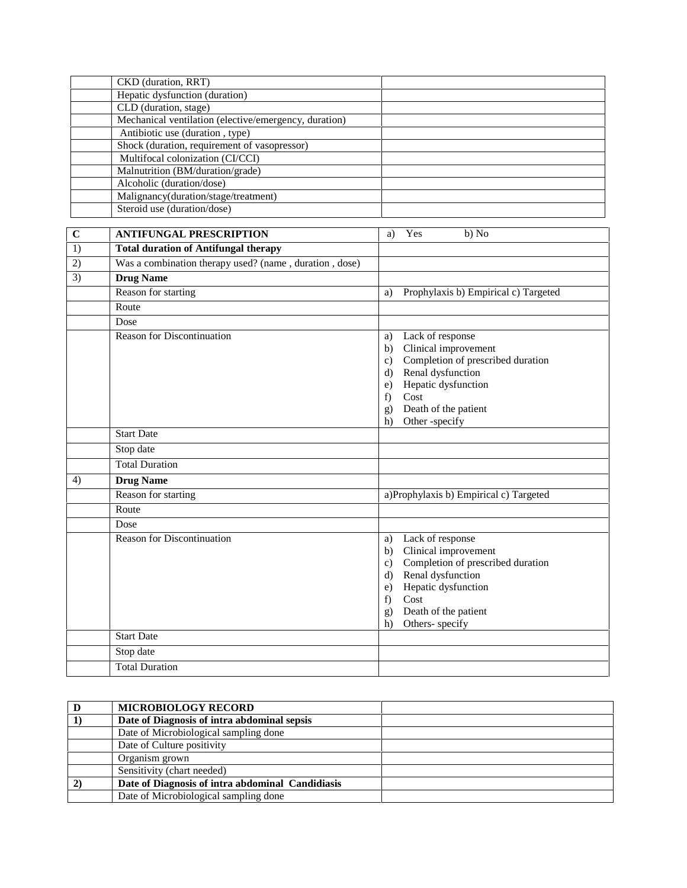|             | CKD (duration, RRT)                                    |                                                    |
|-------------|--------------------------------------------------------|----------------------------------------------------|
|             | Hepatic dysfunction (duration)                         |                                                    |
|             | CLD (duration, stage)                                  |                                                    |
|             | Mechanical ventilation (elective/emergency, duration)  |                                                    |
|             | Antibiotic use (duration, type)                        |                                                    |
|             | Shock (duration, requirement of vasopressor)           |                                                    |
|             | Multifocal colonization (CI/CCI)                       |                                                    |
|             | Malnutrition (BM/duration/grade)                       |                                                    |
|             | Alcoholic (duration/dose)                              |                                                    |
|             | Malignancy(duration/stage/treatment)                   |                                                    |
|             | Steroid use (duration/dose)                            |                                                    |
| $\mathbf C$ | <b>ANTIFUNGAL PRESCRIPTION</b>                         | Yes<br>b) No<br>a)                                 |
| 1)          | <b>Total duration of Antifungal therapy</b>            |                                                    |
| 2)          | Was a combination therapy used? (name, duration, dose) |                                                    |
| 3)          | <b>Drug Name</b>                                       |                                                    |
|             | Reason for starting                                    | Prophylaxis b) Empirical c) Targeted<br>a)         |
|             | Route                                                  |                                                    |
|             | Dose                                                   |                                                    |
|             | <b>Reason for Discontinuation</b>                      | Lack of response<br>a)                             |
|             |                                                        | Clinical improvement<br>b)                         |
|             |                                                        | Completion of prescribed duration<br>c)            |
|             |                                                        | Renal dysfunction<br>$\rm d$                       |
|             |                                                        | Hepatic dysfunction<br>e)                          |
|             |                                                        | Cost<br>f)                                         |
|             |                                                        | Death of the patient<br>g)                         |
|             |                                                        | Other -specify<br>h)                               |
|             | <b>Start Date</b>                                      |                                                    |
|             | Stop date                                              |                                                    |
|             | <b>Total Duration</b>                                  |                                                    |
| 4)          | <b>Drug Name</b>                                       |                                                    |
|             | Reason for starting                                    | a)Prophylaxis b) Empirical c) Targeted             |
|             | Route                                                  |                                                    |
|             | Dose                                                   |                                                    |
|             | <b>Reason for Discontinuation</b>                      | Lack of response<br>a)                             |
|             |                                                        | b) Clinical improvement                            |
|             |                                                        | Completion of prescribed duration<br>$\mathbf{c})$ |
|             |                                                        | Renal dysfunction<br>$\rm d$                       |
|             |                                                        | Hepatic dysfunction<br>e)                          |
|             |                                                        | Cost<br>f)                                         |
|             |                                                        | Death of the patient<br>g)<br>Others- specify      |
|             | <b>Start Date</b>                                      | h)                                                 |
|             | Stop date                                              |                                                    |
|             |                                                        |                                                    |
|             | <b>Total Duration</b>                                  |                                                    |

| <b>MICROBIOLOGY RECORD</b>                       |  |
|--------------------------------------------------|--|
| Date of Diagnosis of intra abdominal sepsis      |  |
| Date of Microbiological sampling done            |  |
| Date of Culture positivity                       |  |
| Organism grown                                   |  |
| Sensitivity (chart needed)                       |  |
| Date of Diagnosis of intra abdominal Candidiasis |  |
| Date of Microbiological sampling done            |  |